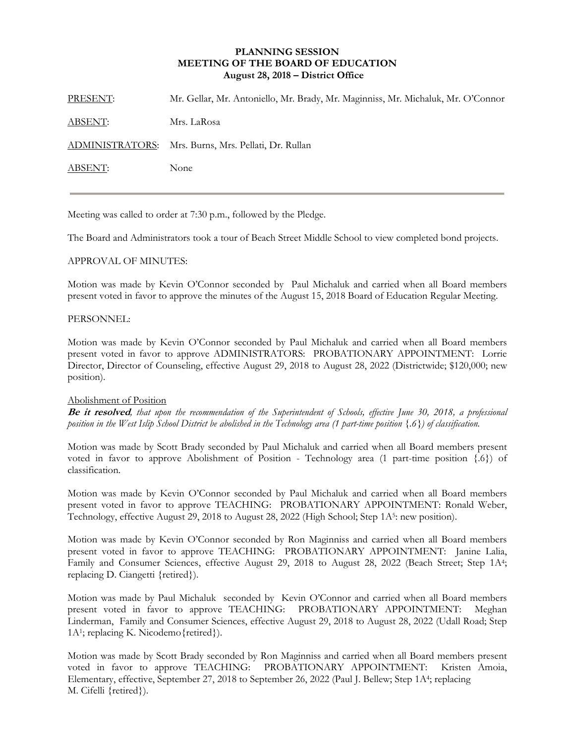## **PLANNING SESSION MEETING OF THE BOARD OF EDUCATION August 28, 2018 – District Office**

| PRESENT:       | Mr. Gellar, Mr. Antoniello, Mr. Brady, Mr. Maginniss, Mr. Michaluk, Mr. O'Connor |
|----------------|----------------------------------------------------------------------------------|
| <b>ABSENT:</b> | Mrs. LaRosa                                                                      |
|                | ADMINISTRATORS: Mrs. Burns, Mrs. Pellati, Dr. Rullan                             |
| <b>ABSENT:</b> | None                                                                             |
|                |                                                                                  |

Meeting was called to order at 7:30 p.m., followed by the Pledge.

The Board and Administrators took a tour of Beach Street Middle School to view completed bond projects.

## APPROVAL OF MINUTES:

Motion was made by Kevin O'Connor seconded by Paul Michaluk and carried when all Board members present voted in favor to approve the minutes of the August 15, 2018 Board of Education Regular Meeting.

## PERSONNEL:

Motion was made by Kevin O'Connor seconded by Paul Michaluk and carried when all Board members present voted in favor to approve ADMINISTRATORS: PROBATIONARY APPOINTMENT: Lorrie Director, Director of Counseling, effective August 29, 2018 to August 28, 2022 (Districtwide; \$120,000; new position).

#### Abolishment of Position

**Be it resolved***, that upon the recommendation of the Superintendent of Schools, effective June 30, 2018, a professional position in the West Islip School District be abolished in the Technology area (1 part-time position {.6}) of classification.* 

Motion was made by Scott Brady seconded by Paul Michaluk and carried when all Board members present voted in favor to approve Abolishment of Position - Technology area (1 part-time position {.6}) of classification.

Motion was made by Kevin O'Connor seconded by Paul Michaluk and carried when all Board members present voted in favor to approve TEACHING: PROBATIONARY APPOINTMENT: Ronald Weber, Technology, effective August 29, 2018 to August 28, 2022 (High School; Step 1A<sup>5</sup>: new position).

Motion was made by Kevin O'Connor seconded by Ron Maginniss and carried when all Board members present voted in favor to approve TEACHING: PROBATIONARY APPOINTMENT: Janine Lalia, Family and Consumer Sciences, effective August 29, 2018 to August 28, 2022 (Beach Street; Step 1A4; replacing D. Ciangetti {retired}).

Motion was made by Paul Michaluk seconded by Kevin O'Connor and carried when all Board members present voted in favor to approve TEACHING: PROBATIONARY APPOINTMENT: Meghan Linderman, Family and Consumer Sciences, effective August 29, 2018 to August 28, 2022 (Udall Road; Step 1A1; replacing K. Nicodemo{retired}).

Motion was made by Scott Brady seconded by Ron Maginniss and carried when all Board members present voted in favor to approve TEACHING: PROBATIONARY APPOINTMENT: Kristen Amoia, Elementary, effective, September 27, 2018 to September 26, 2022 (Paul J. Bellew; Step 1A4; replacing M. Cifelli {retired}).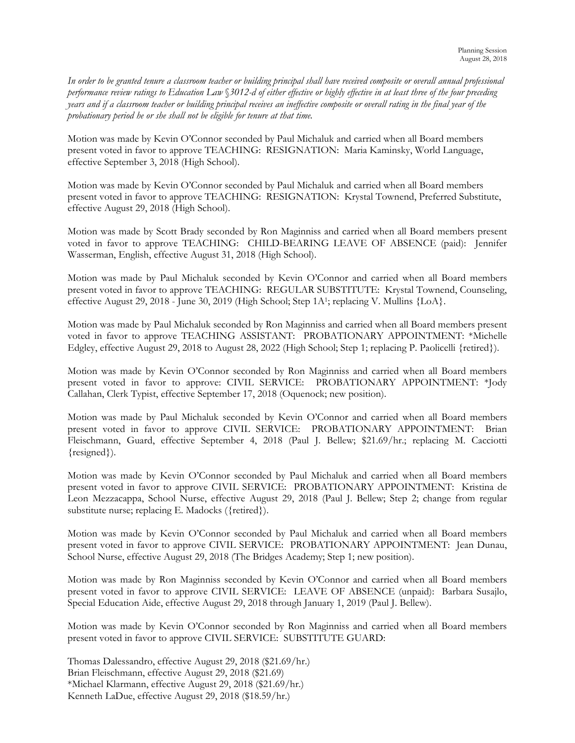*In order to be granted tenure a classroom teacher or building principal shall have received composite or overall annual professional performance review ratings to Education Law* §*3012-d of either effective or highly effective in at least three of the four preceding years and if a classroom teacher or building principal receives an ineffective composite or overall rating in the final year of the probationary period he or she shall not be eligible for tenure at that time.* 

Motion was made by Kevin O'Connor seconded by Paul Michaluk and carried when all Board members present voted in favor to approve TEACHING: RESIGNATION: Maria Kaminsky, World Language, effective September 3, 2018 (High School).

Motion was made by Kevin O'Connor seconded by Paul Michaluk and carried when all Board members present voted in favor to approve TEACHING: RESIGNATION: Krystal Townend, Preferred Substitute, effective August 29, 2018 (High School).

Motion was made by Scott Brady seconded by Ron Maginniss and carried when all Board members present voted in favor to approve TEACHING: CHILD-BEARING LEAVE OF ABSENCE (paid): Jennifer Wasserman, English, effective August 31, 2018 (High School).

Motion was made by Paul Michaluk seconded by Kevin O'Connor and carried when all Board members present voted in favor to approve TEACHING: REGULAR SUBSTITUTE: Krystal Townend, Counseling, effective August 29, 2018 - June 30, 2019 (High School; Step 1A1; replacing V. Mullins {LoA}.

Motion was made by Paul Michaluk seconded by Ron Maginniss and carried when all Board members present voted in favor to approve TEACHING ASSISTANT: PROBATIONARY APPOINTMENT: \*Michelle Edgley, effective August 29, 2018 to August 28, 2022 (High School; Step 1; replacing P. Paolicelli {retired}).

Motion was made by Kevin O'Connor seconded by Ron Maginniss and carried when all Board members present voted in favor to approve: CIVIL SERVICE: PROBATIONARY APPOINTMENT: \*Jody Callahan, Clerk Typist, effective September 17, 2018 (Oquenock; new position).

Motion was made by Paul Michaluk seconded by Kevin O'Connor and carried when all Board members present voted in favor to approve CIVIL SERVICE: PROBATIONARY APPOINTMENT: Brian Fleischmann, Guard, effective September 4, 2018 (Paul J. Bellew; \$21.69/hr.; replacing M. Cacciotti {resigned}).

Motion was made by Kevin O'Connor seconded by Paul Michaluk and carried when all Board members present voted in favor to approve CIVIL SERVICE: PROBATIONARY APPOINTMENT: Kristina de Leon Mezzacappa, School Nurse, effective August 29, 2018 (Paul J. Bellew; Step 2; change from regular substitute nurse; replacing E. Madocks ({retired}).

Motion was made by Kevin O'Connor seconded by Paul Michaluk and carried when all Board members present voted in favor to approve CIVIL SERVICE: PROBATIONARY APPOINTMENT: Jean Dunau, School Nurse, effective August 29, 2018 (The Bridges Academy; Step 1; new position).

Motion was made by Ron Maginniss seconded by Kevin O'Connor and carried when all Board members present voted in favor to approve CIVIL SERVICE: LEAVE OF ABSENCE (unpaid): Barbara Susajlo, Special Education Aide, effective August 29, 2018 through January 1, 2019 (Paul J. Bellew).

Motion was made by Kevin O'Connor seconded by Ron Maginniss and carried when all Board members present voted in favor to approve CIVIL SERVICE: SUBSTITUTE GUARD:

Thomas Dalessandro, effective August 29, 2018 (\$21.69/hr.) Brian Fleischmann, effective August 29, 2018 (\$21.69) \*Michael Klarmann, effective August 29, 2018 (\$21.69/hr.) Kenneth LaDue, effective August 29, 2018 (\$18.59/hr.)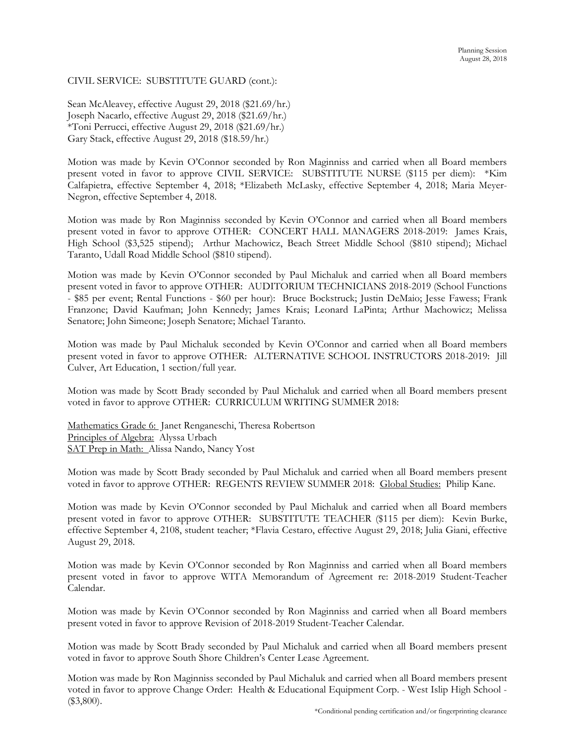# CIVIL SERVICE: SUBSTITUTE GUARD (cont.):

Sean McAleavey, effective August 29, 2018 (\$21.69/hr.) Joseph Nacarlo, effective August 29, 2018 (\$21.69/hr.) \*Toni Perrucci, effective August 29, 2018 (\$21.69/hr.) Gary Stack, effective August 29, 2018 (\$18.59/hr.)

Motion was made by Kevin O'Connor seconded by Ron Maginniss and carried when all Board members present voted in favor to approve CIVIL SERVICE: SUBSTITUTE NURSE (\$115 per diem): \*Kim Calfapietra, effective September 4, 2018; \*Elizabeth McLasky, effective September 4, 2018; Maria Meyer-Negron, effective September 4, 2018.

Motion was made by Ron Maginniss seconded by Kevin O'Connor and carried when all Board members present voted in favor to approve OTHER: CONCERT HALL MANAGERS 2018-2019: James Krais, High School (\$3,525 stipend); Arthur Machowicz, Beach Street Middle School (\$810 stipend); Michael Taranto, Udall Road Middle School (\$810 stipend).

Motion was made by Kevin O'Connor seconded by Paul Michaluk and carried when all Board members present voted in favor to approve OTHER: AUDITORIUM TECHNICIANS 2018-2019 (School Functions - \$85 per event; Rental Functions - \$60 per hour): Bruce Bockstruck; Justin DeMaio; Jesse Fawess; Frank Franzone; David Kaufman; John Kennedy; James Krais; Leonard LaPinta; Arthur Machowicz; Melissa Senatore; John Simeone; Joseph Senatore; Michael Taranto.

Motion was made by Paul Michaluk seconded by Kevin O'Connor and carried when all Board members present voted in favor to approve OTHER: ALTERNATIVE SCHOOL INSTRUCTORS 2018-2019: Jill Culver, Art Education, 1 section/full year.

Motion was made by Scott Brady seconded by Paul Michaluk and carried when all Board members present voted in favor to approve OTHER: CURRICULUM WRITING SUMMER 2018:

Mathematics Grade 6: Janet Renganeschi, Theresa Robertson Principles of Algebra: Alyssa Urbach SAT Prep in Math: Alissa Nando, Nancy Yost

Motion was made by Scott Brady seconded by Paul Michaluk and carried when all Board members present voted in favor to approve OTHER: REGENTS REVIEW SUMMER 2018: Global Studies: Philip Kane.

Motion was made by Kevin O'Connor seconded by Paul Michaluk and carried when all Board members present voted in favor to approve OTHER: SUBSTITUTE TEACHER (\$115 per diem): Kevin Burke, effective September 4, 2108, student teacher; \*Flavia Cestaro, effective August 29, 2018; Julia Giani, effective August 29, 2018.

Motion was made by Kevin O'Connor seconded by Ron Maginniss and carried when all Board members present voted in favor to approve WITA Memorandum of Agreement re: 2018-2019 Student-Teacher Calendar.

Motion was made by Kevin O'Connor seconded by Ron Maginniss and carried when all Board members present voted in favor to approve Revision of 2018-2019 Student-Teacher Calendar.

Motion was made by Scott Brady seconded by Paul Michaluk and carried when all Board members present voted in favor to approve South Shore Children's Center Lease Agreement.

Motion was made by Ron Maginniss seconded by Paul Michaluk and carried when all Board members present voted in favor to approve Change Order: Health & Educational Equipment Corp. - West Islip High School - (\$3,800).